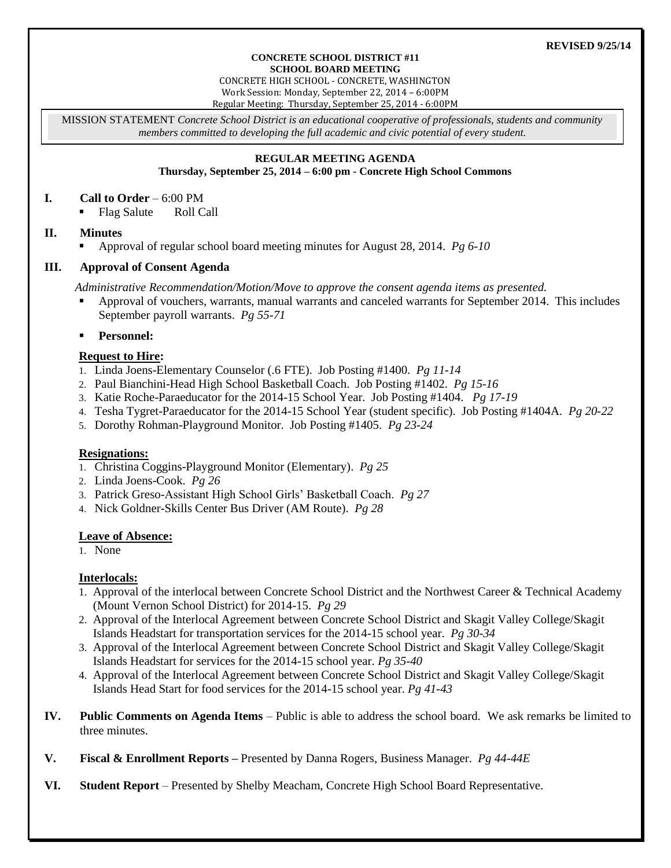#### **CONCRETE SCHOOL DISTRICT #11 SCHOOL BOARD MEETING**

CONCRETE HIGH SCHOOL - CONCRETE, WASHINGTON Work Session: Monday, September 22, 2014 – 6:00PM Regular Meeting: Thursday, September 25, 2014 - 6:00PM

MISSION STATEMENT *Concrete School District is an educational cooperative of professionals, students and community members committed to developing the full academic and civic potential of every student.*

### **REGULAR MEETING AGENDA**

**Thursday, September 25, 2014 – 6:00 pm - Concrete High School Commons**

### **I. Call to Order** – 6:00 PM

Flag Salute Roll Call

# **II. Minutes**

Approval of regular school board meeting minutes for August 28, 2014. *Pg 6-10*

# **III. Approval of Consent Agenda**

*Administrative Recommendation/Motion/Move to approve the consent agenda items as presented.*

- Approval of vouchers, warrants, manual warrants and canceled warrants for September 2014. This includes September payroll warrants. *Pg 55-71*
- **Personnel:**

# **Request to Hire:**

- 1. Linda Joens-Elementary Counselor (.6 FTE). Job Posting #1400. *Pg 11-14*
- 2. Paul Bianchini-Head High School Basketball Coach. Job Posting #1402. *Pg 15-16*
- 3. Katie Roche-Paraeducator for the 2014-15 School Year. Job Posting #1404. *Pg 17-19*
- 4. Tesha Tygret-Paraeducator for the 2014-15 School Year (student specific). Job Posting #1404A. *Pg 20-22*
- 5. Dorothy Rohman-Playground Monitor. Job Posting #1405. *Pg 23-24*

# **Resignations:**

- 1. Christina Coggins-Playground Monitor (Elementary). *Pg 25*
- 2. Linda Joens-Cook. *Pg 26*
- 3. Patrick Greso-Assistant High School Girls' Basketball Coach. *Pg 27*
- 4. Nick Goldner-Skills Center Bus Driver (AM Route). *Pg 28*

# **Leave of Absence:**

1. None

# **Interlocals:**

- 1. Approval of the interlocal between Concrete School District and the Northwest Career & Technical Academy (Mount Vernon School District) for 2014-15. *Pg 29*
- 2. Approval of the Interlocal Agreement between Concrete School District and Skagit Valley College/Skagit Islands Headstart for transportation services for the 2014-15 school year. *Pg 30-34*
- 3. Approval of the Interlocal Agreement between Concrete School District and Skagit Valley College/Skagit Islands Headstart for services for the 2014-15 school year. *Pg 35-40*
- 4. Approval of the Interlocal Agreement between Concrete School District and Skagit Valley College/Skagit Islands Head Start for food services for the 2014-15 school year. *Pg 41-43*
- **IV. Public Comments on Agenda Items** Public is able to address the school board. We ask remarks be limited to three minutes.
- **V. Fiscal & Enrollment Reports –** Presented by Danna Rogers, Business Manager. *Pg 44-44E*
- **VI. Student Report** Presented by Shelby Meacham, Concrete High School Board Representative.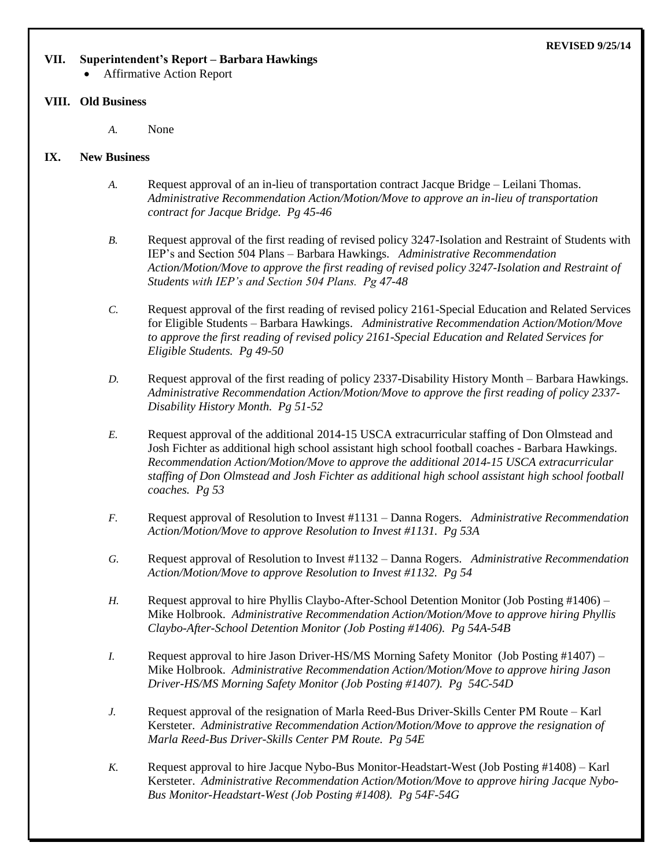#### **REVISED 9/25/14**

#### **VII. Superintendent's Report – Barbara Hawkings**

Affirmative Action Report

#### **VIII. Old Business**

*A.* None

### **IX. New Business**

- *A.* Request approval of an in-lieu of transportation contract Jacque Bridge Leilani Thomas. *Administrative Recommendation Action/Motion/Move to approve an in-lieu of transportation contract for Jacque Bridge. Pg 45-46*
- *B.* Request approval of the first reading of revised policy 3247-Isolation and Restraint of Students with IEP's and Section 504 Plans – Barbara Hawkings. *Administrative Recommendation Action/Motion/Move to approve the first reading of revised policy 3247-Isolation and Restraint of Students with IEP's and Section 504 Plans. Pg 47-48*
- *C.* Request approval of the first reading of revised policy 2161-Special Education and Related Services for Eligible Students – Barbara Hawkings. *Administrative Recommendation Action/Motion/Move to approve the first reading of revised policy 2161-Special Education and Related Services for Eligible Students. Pg 49-50*
- *D.* Request approval of the first reading of policy 2337-Disability History Month Barbara Hawkings. *Administrative Recommendation Action/Motion/Move to approve the first reading of policy 2337- Disability History Month. Pg 51-52*
- *E.* Request approval of the additional 2014-15 USCA extracurricular staffing of Don Olmstead and Josh Fichter as additional high school assistant high school football coaches - Barbara Hawkings. *Recommendation Action/Motion/Move to approve the additional 2014-15 USCA extracurricular staffing of Don Olmstead and Josh Fichter as additional high school assistant high school football coaches. Pg 53*
- *F.* Request approval of Resolution to Invest #1131 Danna Rogers. *Administrative Recommendation Action/Motion/Move to approve Resolution to Invest #1131. Pg 53A*
- *G.* Request approval of Resolution to Invest #1132 Danna Rogers. *Administrative Recommendation Action/Motion/Move to approve Resolution to Invest #1132. Pg 54*
- *H.* Request approval to hire Phyllis Claybo-After-School Detention Monitor (Job Posting #1406) Mike Holbrook. *Administrative Recommendation Action/Motion/Move to approve hiring Phyllis Claybo-After-School Detention Monitor (Job Posting #1406). Pg 54A-54B*
- *I.* Request approval to hire Jason Driver-HS/MS Morning Safety Monitor (Job Posting #1407) Mike Holbrook. *Administrative Recommendation Action/Motion/Move to approve hiring Jason Driver-HS/MS Morning Safety Monitor (Job Posting #1407). Pg 54C-54D*
- *J.* Request approval of the resignation of Marla Reed-Bus Driver-Skills Center PM Route Karl Kersteter. *Administrative Recommendation Action/Motion/Move to approve the resignation of Marla Reed-Bus Driver-Skills Center PM Route. Pg 54E*
- *K.* Request approval to hire Jacque Nybo-Bus Monitor-Headstart-West (Job Posting #1408) Karl Kersteter. *Administrative Recommendation Action/Motion/Move to approve hiring Jacque Nybo-Bus Monitor-Headstart-West (Job Posting #1408). Pg 54F-54G*